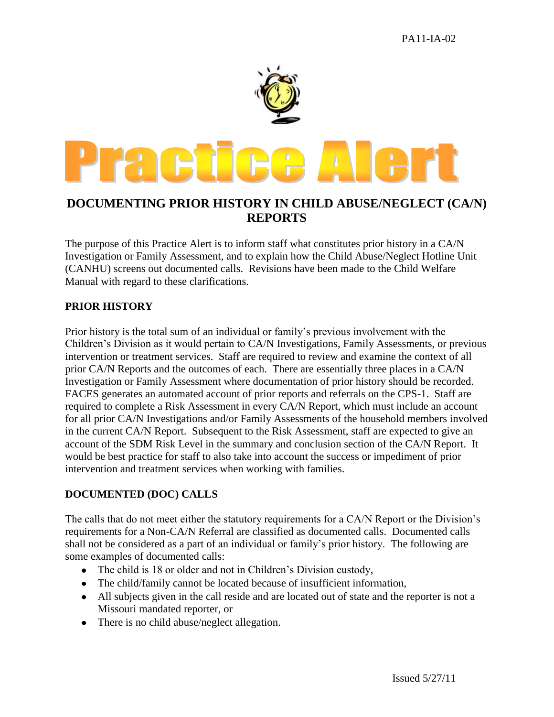

## **DOCUMENTING PRIOR HISTORY IN CHILD ABUSE/NEGLECT (CA/N) REPORTS**

The purpose of this Practice Alert is to inform staff what constitutes prior history in a CA/N Investigation or Family Assessment, and to explain how the Child Abuse/Neglect Hotline Unit (CANHU) screens out documented calls. Revisions have been made to the Child Welfare Manual with regard to these clarifications.

## **PRIOR HISTORY**

Prior history is the total sum of an individual or family's previous involvement with the Children's Division as it would pertain to CA/N Investigations, Family Assessments, or previous intervention or treatment services. Staff are required to review and examine the context of all prior CA/N Reports and the outcomes of each. There are essentially three places in a CA/N Investigation or Family Assessment where documentation of prior history should be recorded. FACES generates an automated account of prior reports and referrals on the CPS-1. Staff are required to complete a Risk Assessment in every CA/N Report, which must include an account for all prior CA/N Investigations and/or Family Assessments of the household members involved in the current CA/N Report. Subsequent to the Risk Assessment, staff are expected to give an account of the SDM Risk Level in the summary and conclusion section of the CA/N Report. It would be best practice for staff to also take into account the success or impediment of prior intervention and treatment services when working with families.

## **DOCUMENTED (DOC) CALLS**

The calls that do not meet either the statutory requirements for a CA/N Report or the Division's requirements for a Non-CA/N Referral are classified as documented calls. Documented calls shall not be considered as a part of an individual or family's prior history. The following are some examples of documented calls:

- The child is 18 or older and not in Children's Division custody,
- The child/family cannot be located because of insufficient information,
- All subjects given in the call reside and are located out of state and the reporter is not a Missouri mandated reporter, or
- There is no child abuse/neglect allegation.